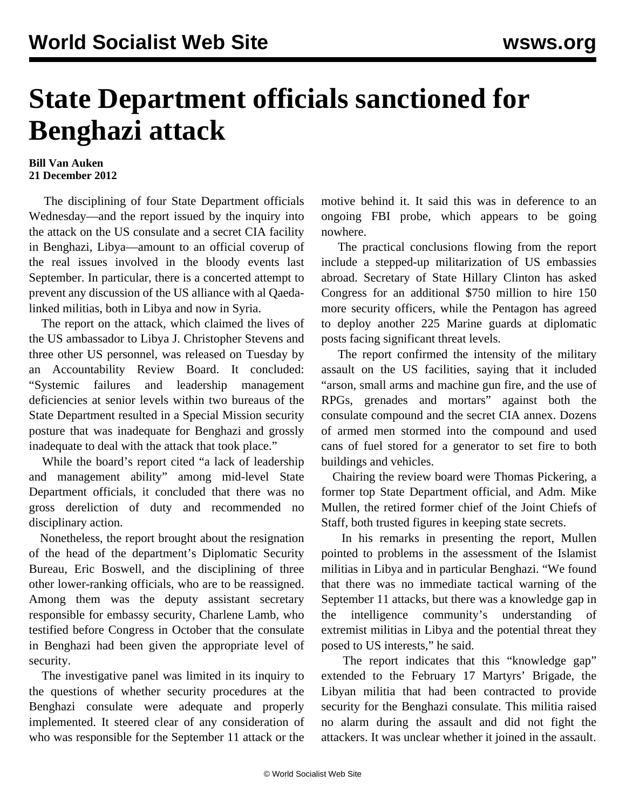## **State Department officials sanctioned for Benghazi attack**

## **Bill Van Auken 21 December 2012**

 The disciplining of four State Department officials Wednesday—and the report issued by the inquiry into the attack on the US consulate and a secret CIA facility in Benghazi, Libya—amount to an official coverup of the real issues involved in the bloody events last September. In particular, there is a concerted attempt to prevent any discussion of the US alliance with al Qaedalinked militias, both in Libya and now in Syria.

 The report on the attack, which claimed the lives of the US ambassador to Libya J. Christopher Stevens and three other US personnel, was released on Tuesday by an Accountability Review Board. It concluded: "Systemic failures and leadership management deficiencies at senior levels within two bureaus of the State Department resulted in a Special Mission security posture that was inadequate for Benghazi and grossly inadequate to deal with the attack that took place."

 While the board's report cited "a lack of leadership and management ability" among mid-level State Department officials, it concluded that there was no gross dereliction of duty and recommended no disciplinary action.

 Nonetheless, the report brought about the resignation of the head of the department's Diplomatic Security Bureau, Eric Boswell, and the disciplining of three other lower-ranking officials, who are to be reassigned. Among them was the deputy assistant secretary responsible for embassy security, Charlene Lamb, who testified before Congress in October that the consulate in Benghazi had been given the appropriate level of security.

 The investigative panel was limited in its inquiry to the questions of whether security procedures at the Benghazi consulate were adequate and properly implemented. It steered clear of any consideration of who was responsible for the September 11 attack or the

motive behind it. It said this was in deference to an ongoing FBI probe, which appears to be going nowhere.

 The practical conclusions flowing from the report include a stepped-up militarization of US embassies abroad. Secretary of State Hillary Clinton has asked Congress for an additional \$750 million to hire 150 more security officers, while the Pentagon has agreed to deploy another 225 Marine guards at diplomatic posts facing significant threat levels.

 The report confirmed the intensity of the military assault on the US facilities, saying that it included "arson, small arms and machine gun fire, and the use of RPGs, grenades and mortars" against both the consulate compound and the secret CIA annex. Dozens of armed men stormed into the compound and used cans of fuel stored for a generator to set fire to both buildings and vehicles.

 Chairing the review board were Thomas Pickering, a former top State Department official, and Adm. Mike Mullen, the retired former chief of the Joint Chiefs of Staff, both trusted figures in keeping state secrets.

 In his remarks in presenting the report, Mullen pointed to problems in the assessment of the Islamist militias in Libya and in particular Benghazi. "We found that there was no immediate tactical warning of the September 11 attacks, but there was a knowledge gap in the intelligence community's understanding of extremist militias in Libya and the potential threat they posed to US interests," he said.

The report indicates that this "knowledge gap" extended to the February 17 Martyrs' Brigade, the Libyan militia that had been contracted to provide security for the Benghazi consulate. This militia raised no alarm during the assault and did not fight the attackers. It was unclear whether it joined in the assault.